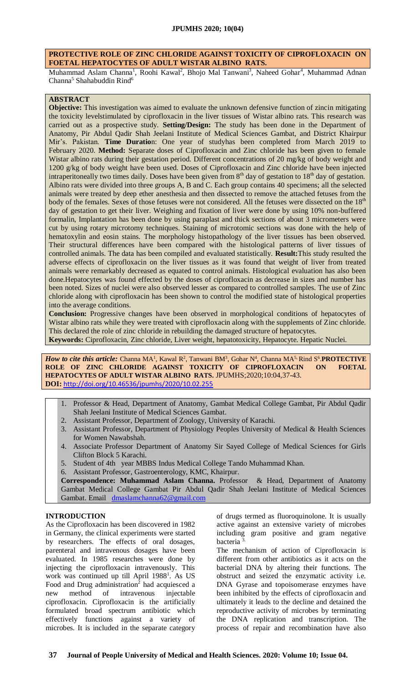## **PROTECTIVE ROLE OF ZINC CHLORIDE AGAINST TOXICITY OF CIPROFLOXACIN ON FOETAL HEPATOCYTES OF ADULT WISTAR ALBINO RATS.**

Muhammad Aslam Channa<sup>1</sup>, Roohi Kawal<sup>2</sup>, Bhojo Mal Tanwani<sup>3</sup>, Naheed Gohar<sup>4</sup>, Muhammad Adnan Channa<sup>5</sup> Shahabuddin Rind<sup>6</sup>

# **ABSTRACT**

**Objective:** This investigation was aimed to evaluate the unknown defensive function of zincin mitigating the toxicity levelstimulated by ciprofloxacin in the liver tissues of Wistar albino rats. This research was carried out as a prospective study. **Setting/Design:** The study has been done in the Department of Anatomy, Pir Abdul Qadir Shah Jeelani Institute of Medical Sciences Gambat, and District Khairpur Mir's. Pakistan. **Time Duratio**n: One year of studyhas been completed from March 2019 to February 2020. **Method:** Separate doses of Ciprofloxacin and Zinc chloride has been given to female Wistar albino rats during their gestation period. Different concentrations of 20 mg/kg of body weight and 1200 g/kg of body weight have been used. Doses of Ciprofloxacin and Zinc chloride have been injected intraperitoneally two times daily. Doses have been given from 8th day of gestation to 18th day of gestation. Albino rats were divided into three groups A, B and C. Each group contains 40 specimens; all the selected animals were treated by deep ether anesthesia and then dissected to remove the attached fetuses from the body of the females. Sexes of those fetuses were not considered. All the fetuses were dissected on the 18<sup>th</sup> day of gestation to get their liver. Weighing and fixation of liver were done by using 10% non-buffered formalin, Implantation has been done by using paraplast and thick sections of about 3 micrometers were cut by using rotary microtomy techniques. Staining of microtomic sections was done with the help of hematoxylin and eosin stains. The morphology histopathology of the liver tissues has been observed. Their structural differences have been compared with the histological patterns of liver tissues of controlled animals. The data has been compiled and evaluated statistically. **Result:**This study resulted the adverse effects of ciprofloxacin on the liver tissues as it was found that weight of liver from treated animals were remarkably decreased as equated to control animals. Histological evaluation has also been done.Hepatocytes was found effected by the doses of ciprofloxacin as decrease in sizes and number has been noted. Sizes of nuclei were also observed lesser as compared to controlled samples. The use of Zinc chloride along with ciprofloxacin has been shown to control the modified state of histological properties into the average conditions.

**Conclusion:** Progressive changes have been observed in morphological conditions of hepatocytes of Wistar albino rats while they were treated with ciprofloxacin along with the supplements of Zinc chloride. This declared the role of zinc chloride in rebuilding the damaged structure of hepatocytes.

**Keywords:** Ciprofloxacin, Zinc chloride, Liver weight, hepatotoxicity, Hepatocyte. Hepatic Nuclei.

*How to cite this article:* Channa MA<sup>1</sup>, Kawal R<sup>2</sup>, Tanwani BM<sup>3</sup>, Gohar N<sup>4</sup>, Channa MA<sup>5,</sup> Rind S<sup>6</sup>.PROTECTIVE **ROLE OF ZINC CHLORIDE AGAINST TOXICITY OF CIPROFLOXACIN ON FOETAL HEPATOCYTES OF ADULT WISTAR ALBINO RATS.** JPUMHS;2020;10:04,37-43. **DOI:** <http://doi.org/10.46536/jpumhs/2020/10.02.255>

- 1. Professor & Head, Department of Anatomy, Gambat Medical College Gambat, Pir Abdul Qadir Shah Jeelani Institute of Medical Sciences Gambat.
- 2. Assistant Professor, Department of Zoology, University of Karachi.
- 3. Assistant Professor, Department of Physiology Peoples University of Medical & Health Sciences for Women Nawabshah.
- 4. Associate Professor Department of Anatomy Sir Sayed College of Medical Sciences for Girls Clifton Block 5 Karachi.
- 5. Student of 4th year MBBS Indus Medical College Tando Muhammad Khan.
- 6. Assistant Professor, Gastroenterology, KMC, Khairpur.

**Correspondence: Muhammad Aslam Channa.** Professor & Head, Department of Anatomy Gambat Medical College Gambat Pir Abdul Qadir Shah Jeelani Institute of Medical Sciences Gambat. Email dmaslamchanna62@gmail.com

### **INTRODUCTION**

As the Ciprofloxacin has been discovered in 1982 in Germany, the clinical experiments were started by researchers. The effects of oral dosages, parenteral and intravenous dosages have been evaluated. In 1985 researches were done by injecting the ciprofloxacin intravenously. This work was continued up till April 1988<sup>1</sup>. As US Food and Drug administration<sup>2</sup> had acquiesced a new method of intravenous injectable ciprofloxacin. Ciprofloxacin is the artificially formulated broad spectrum antibiotic which effectively functions against a variety of microbes. It is included in the separate category

of drugs termed as fluoroquinolone. It is usually active against an extensive variety of microbes including gram positive and gram negative bacteria

The mechanism of action of Ciprofloxacin is different from other antibiotics as it acts on the bacterial DNA by altering their functions. The obstruct and seized the enzymatic activity i.e. DNA Gyrase and topoisomerase enzymes have been inhibited by the effects of ciprofloxacin and ultimately it leads to the decline and detained the reproductive activity of microbes by terminating the DNA replication and transcription. The process of repair and recombination have also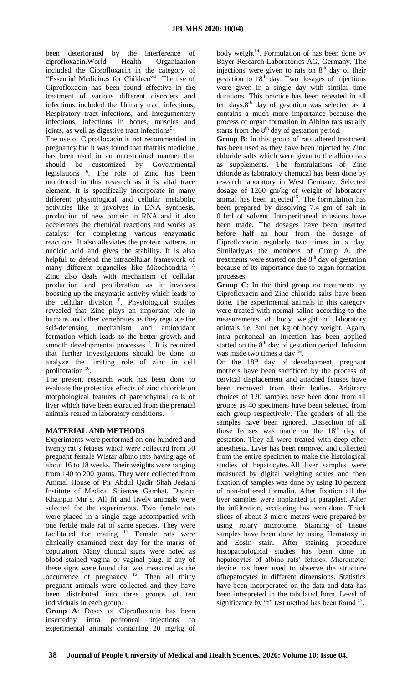been deteriorated by the interference of ciprofloxacin.World Health Organization included the Ciprofloxacin in the category of "Essential Medicines for Children"4. The use of Ciprofloxacin has been found effective in the treatment of various different disorders and infections included the Urinary tract infections, Respiratory tract infections, and Integumentary infections, infections in bones, muscles and joints, as well as digestive tract infections<sup>5.</sup>

The use of Ciprofloxacin is not recommended in pregnancy but it was found that thatthis medicine has been used in an unrestrained manner that should be customized by Governmental legislations <sup>6</sup> . The role of Zinc has been monitored in this research as it is vital trace element. It is specifically incorporate in many different physiological and cellular metabolic activities like it involves in DNA synthesis, production of new protein in RNA and it also accelerates the chemical reactions and works as catalyst for completing various enzymatic reactions. It also alleviates the protein patterns in nucleic acid and gives the stability. It is also helpful to defend the intracellular framework of many different organelles like Mitochondria 7. Zinc also deals with mechanism of cellular production and proliferation as it involves boosting up the enzymatic activity which leads to the cellular division <sup>8</sup>. Physiological studies revealed that Zinc plays an important role in humans and other vertebrates as they regulate the self-defensing mechanism and antioxidant formation which leads to the better growth and smooth developmental processes <sup>9</sup>. It is required that further investigations should be done to analyze the limiting role of zinc in cell proliferation <sup>10</sup>.

The present research work has been done to evaluate the protective effects of zinc chloride on morphological features of parenchymal calls of liver which have been extracted from the prenatal animals reared in laboratory conditions.

# **MATERIAL AND METHODS**

Experiments were performed on one hundred and twenty rat's fetuses which were collected from 30 pregnant female Wistar albino rats having age of about 16 to 18 weeks. Their weights were ranging from 140 to 200 grams. They were collected from Animal House of Pir Abdul Qadir Shah Jeelani Institute of Medical Sciences Gambat, District Khairpur Mir`s. All fit and lively animals were selected for the experiments. Two female rats were placed in a single cage accompanied with one fertile male rat of same species. They were facilitated for mating <sup>11.</sup> Female rats were clinically examined next day for the marks of copulation. Many clinical signs were noted as blood stained vagina or vaginal plug. If any of these signs were found that was measured as the occurrence of pregnancy  $13$ . Then all thirty pregnant animals were collected and they have been distributed into three groups of ten individuals in each group.

**Group A**: Doses of Ciprofloxacin has been insertedby intra peritoneal injections to experimental animals containing 20 mg/kg of body weight<sup>14</sup>. Formulation of has been done by Bayer Research Laboratories AG, Germany. The injections were given to rats on  $8<sup>th</sup>$  day of their gestation to  $18<sup>th</sup>$  day. Two dosages of injections were given in a single day with similar time durations. This practice has been repeated in all ten days.8<sup>th</sup> day of gestation was selected as it contains a much more importance because the process of organ formation in Albino rats usually starts from the 8<sup>th</sup> day of gestation period.

**Group B**: In this group of rats altered treatment has been used as they have been injected by Zinc chloride salts which were given to the albino rats as supplements. The formulations of Zinc chloride as laboratory chemical has been done by research laboratory in West Germany. Selected dosage of 1200 gm/kg of weight of laboratory animal has been injected<sup>15</sup>. The formulation has been prepared by dissolving 7.4 gm of salt in 0.1ml of solvent. Intraperitoneal infusions have been made. The dosages have been inserted before half an hour from the dosage of Ciprofloxacin regularly two times in a day. Similarly,as the members of Group A, the treatments were started on the  $8<sup>th</sup>$  day of gestation because of its importance due to organ formation processes.

**Group C**: In the third group no treatments by Ciprofloxacin and Zinc chloride salts have been done. The experimental animals in this category were treated with normal saline according to the measurements of body weight of laboratory animals i.e. 3ml per kg of body weight. Again, intra peritoneal an injection has been applied started on the  $8<sup>th</sup>$  day of gestation period. Infusion was made two times a day <sup>16</sup>.

On the  $18<sup>th</sup>$  day of development, pregnant mothers have been sacrificed by the process of cervical displacement and attached fetuses have been removed from their bodies. Arbitrary choices of 120 samples have been done from all groups as 40 specimens have been selected from each group respectively. The genders of all the samples have been ignored. Dissection of all those fetuses was made on the  $18<sup>th</sup>$  day of gestation. They all were treated with deep ether anesthesia. Liver has been removed and collected from the entire specimen to make the histological studies of hepatocytes.All liver samples were measured by digital weighing scales and then fixation of samples was done by using 10 percent of non-buffered formalin. After fixation all the liver samples were implanted in paraplast. After the infiltration, sectioning has been done. Thick slices of about 3 micro meters were prepared by using rotary microtome. Staining of tissue samples have been done by using Hematoxylin and Eosin stain. After staining procedure histopathological studies has been done in hepatocytes of albino rats' fetuses. Micrometer device has been used to observe the structure ofhepatocytes in different dimensions. Statistics have been incorporated on the data and data has been interpreted in the tabulated form. Level of significance by "t" test method has been found  $17$ .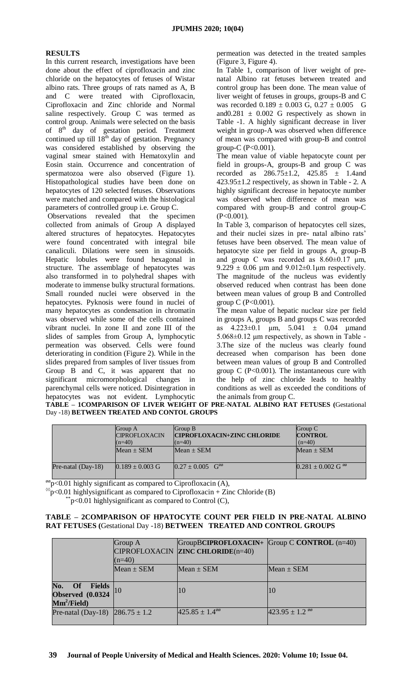# **RESULTS**

In this current research, investigations have been done about the effect of ciprofloxacin and zinc chloride on the hepatocytes of fetuses of Wistar albino rats. Three groups of rats named as A, B and C were treated with Ciprofloxacin, Ciprofloxacin and Zinc chloride and Normal saline respectively. Group C was termed as control group. Animals were selected on the basis of 8<sup>th</sup> day of gestation period. Treatment continued up till  $18<sup>th</sup>$  day of gestation. Pregnancy was considered established by observing the vaginal smear stained with Hematoxylin and Eosin stain. Occurrence and concentration of spermatozoa were also observed (Figure 1). Histopathological studies have been done on hepatocytes of 120 selected fetuses. Observations were matched and compared with the histological parameters of controlled group i.e. Group C.

Observations revealed that the specimen collected from animals of Group A displayed altered structures of hepatocytes. Hepatocytes were found concentrated with integral bile canaliculi. Dilations were seen in sinusoids. Hepatic lobules were found hexagonal in structure. The assemblage of hepatocytes was also transformed in to polyhedral shapes with moderate to immense bulky structural formations. Small rounded nuclei were observed in the hepatocytes. Pyknosis were found in nuclei of many hepatocytes as condensation in chromatin was observed while some of the cells contained vibrant nuclei. In zone II and zone III of the slides of samples from Group A, lymphocytic permeation was observed. Cells were found deteriorating in condition (Figure 2). While in the slides prepared from samples of liver tissues from Group B and C, it was apparent that no significant micromorphological changes in parenchymal cells were noticed. Disintegration in hepatocytes was not evident. Lymphocytic

permeation was detected in the treated samples (Figure 3, Figure 4).

In Table 1, comparison of liver weight of prenatal Albino rat fetuses between treated and control group has been done. The mean value of liver weight of fetuses in groups, groups-B and C was recorded  $0.189 \pm 0.003$  G,  $0.27 \pm 0.005$  G and $0.281 \pm 0.002$  G respectively as shown in Table -1. A highly significant decrease in liver weight in group-A was observed when difference of mean was compared with group-B and control group- $C$  (P<0.001).

The mean value of viable hepatocyte count per field in groups-A, groups-B and group C was recorded as  $286.75 \pm 1.2$ ,  $425.85 \pm 1.4$  and 423.95±1.2 respectively, as shown in Table - 2. A highly significant decrease in hepatocyte number was observed when difference of mean was compared with group-B and control group-C  $(P<0.001)$ .

In Table 3, comparison of hepatocytes cell sizes, and their nuclei sizes in pre- natal albino rats' fetuses have been observed. The mean value of hepatocyte size per field in groups A, group-B and group C was recorded as 8.60±0.17 μm,  $9.229 \pm 0.06$  µm and  $9.012 \pm 0.1$ µm respectively. The magnitude of the nucleus was evidently observed reduced when contrast has been done between mean values of group B and Controlled group C ( $P < 0.001$ ).

The mean value of hepatic nuclear size per field in groups A, groups B and groups C was recorded as  $4.223 \pm 0.1$  μm,  $5.041 \pm 0.04$  μmand 5.068±0.12 μm respectively, as shown in Table - 3.The size of the nucleus was clearly found decreased when comparison has been done between mean values of group B and Controlled group  $C$  (P<0.001). The instantaneous cure with the help of zinc chloride leads to healthy conditions as well as exceeded the conditions of the animals from group C.

|  |                                            |  | TABLE – 1COMPARISON OF LIVER WEIGHT OF PRE-NATAL ALBINO RAT FETUSES (Gestational |  |  |
|--|--------------------------------------------|--|----------------------------------------------------------------------------------|--|--|
|  | Day -18) BETWEEN TREATED AND CONTOL GROUPS |  |                                                                                  |  |  |

|                      | Group A<br><b>CIPROFLOXACIN</b><br>$(n=40)$ | Group B<br><b>CIPROFLOXACIN+ZINC CHLORIDE</b><br>$(n=40)$ | Group C<br><b>CONTROL</b><br>$(n=40)$ |
|----------------------|---------------------------------------------|-----------------------------------------------------------|---------------------------------------|
|                      | $Mean \pm SEM$                              | $Mean \pm SEM$                                            | $Mean + SEM$                          |
| Pre-natal $(Day-18)$ | $0.189 \pm 0.003$ G                         | $0.27 \pm 0.005$ G <sup>oo</sup>                          | $0.281 \pm 0.002$ G %                 |

 $\frac{\partial \phi}{\partial y}$  < 0.01 highly significant as compared to Ciprofloxacin (A),

 $\degree$ p<0.01 highlysignificant as compared to Ciprofloxacin + Zinc Chloride (B)

 $p$ <0.01 highlysignificant as compared to Control (C),

### **TABLE – 2COMPARISON OF HPATOCYTE COUNT PER FIELD IN PRE-NATAL ALBINO RAT FETUSES (**Gestational Day -18) **BETWEEN TREATED AND CONTROL GROUPS**

|                                       | Group A        | $GroupBCIPROFLOXACIN+  Group C CONTROL (n=40)$ |                    |
|---------------------------------------|----------------|------------------------------------------------|--------------------|
|                                       |                | CIPROFLOXACIN ZINC CHLORIDE(n=40)              |                    |
|                                       | $(n=40)$       |                                                |                    |
|                                       | $Mean \pm SEM$ | $Mean \pm SEM$                                 | Mean $\pm$ SEM     |
|                                       |                |                                                |                    |
| No. Of Fields                         |                | 10                                             |                    |
| <b>Observed</b> (0.0324)              |                |                                                | 10                 |
| $\text{Mm}^2/\text{Field}$            |                |                                                |                    |
| Pre-natal (Day-18) $ 286.75 \pm 1.2 $ |                | $425.85 \pm 1.4$ <sup>66</sup>                 | $423.95 \pm 1.2$ % |
|                                       |                |                                                |                    |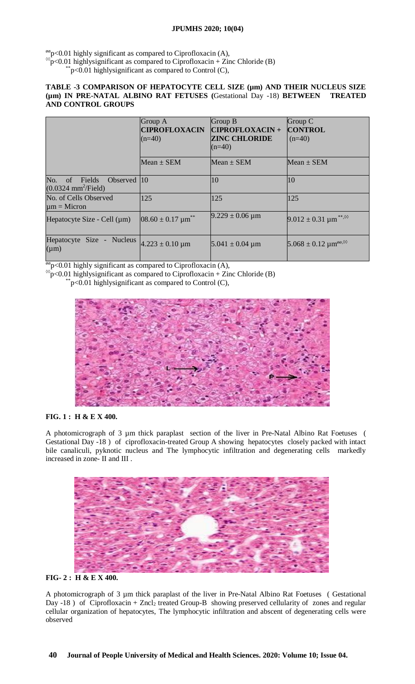# **JPUMHS 2020; 10(04)**

 $\frac{\partial \phi}{\partial y}$  <0.01 highly significant as compared to Ciprofloxacin (A),

 $\sqrt[6]{p}$ <0.01 highlysignificant as compared to Ciprofloxacin + Zinc Chloride (B)

 $p<0.01$  highlysignificant as compared to Control (C),

### **TABLE -3 COMPARISON OF HEPATOCYTE CELL SIZE (µm) AND THEIR NUCLEUS SIZE (µm) IN PRE-NATAL ALBINO RAT FETUSES (**Gestational Day -18) **BETWEEN TREATED AND CONTROL GROUPS**

|                                                                         | Group A<br><b>CIPROFLOXACIN</b><br>$(n=40)$ | Group B<br><b>CIPROFLOXACIN+</b><br><b>ZINC CHLORIDE</b> | Group C<br><b>CONTROL</b><br>$(n=40)$                |
|-------------------------------------------------------------------------|---------------------------------------------|----------------------------------------------------------|------------------------------------------------------|
|                                                                         |                                             | $(n=40)$                                                 |                                                      |
|                                                                         | Mean $\pm$ SEM                              | Mean $\pm$ SEM                                           | Mean $\pm$ SEM                                       |
| No.<br>of Fields<br>Observed 10<br>$(0.0324 \text{ mm}^2/\text{Field})$ |                                             | 10                                                       | 10                                                   |
| No. of Cells Observed<br>$\mu$ m = Micron                               | 125                                         | 125                                                      | 125                                                  |
| Hepatocyte Size - Cell $(\mu m)$                                        | $08.60 \pm 0.17$ µm <sup>**</sup>           | $9.229 \pm 0.06 \,\mu m$                                 | $9.012 \pm 0.31$ µm <sup>**,<math>\circ</math></sup> |
| Hepatocyte Size - Nucleus<br>$(\mu m)$                                  | $4.223 \pm 0.10 \text{ µm}$                 | $5.041 \pm 0.04 \mu m$                                   | $5.068 \pm 0.12 \ \mu m^{\text{oo},\otimes}$         |

 $\frac{\partial \phi}{\partial r}$  <0.01 highly significant as compared to Ciprofloxacin (A),

 $\sqrt[8]{p}$ <0.01 highlysignificant as compared to Ciprofloxacin + Zinc Chloride (B)

 $p$ <0.01 highlysignificant as compared to Control (C),



# **FIG. 1 : H & E X 400.**

A photomicrograph of 3 µm thick paraplast section of the liver in Pre-Natal Albino Rat Foetuses ( Gestational Day -18 ) of ciprofloxacin-treated Group A showing hepatocytes closely packed with intact bile canaliculi, pyknotic nucleus and The lymphocytic infiltration and degenerating cells markedly increased in zone- II and III .





A photomicrograph of 3 µm thick paraplast of the liver in Pre-Natal Albino Rat Foetuses ( Gestational Day -18 ) of Ciprofloxacin + Zncl<sub>2</sub> treated Group-B showing preserved cellularity of zones and regular cellular organization of hepatocytes, The lymphocytic infiltration and abscent of degenerating cells were observed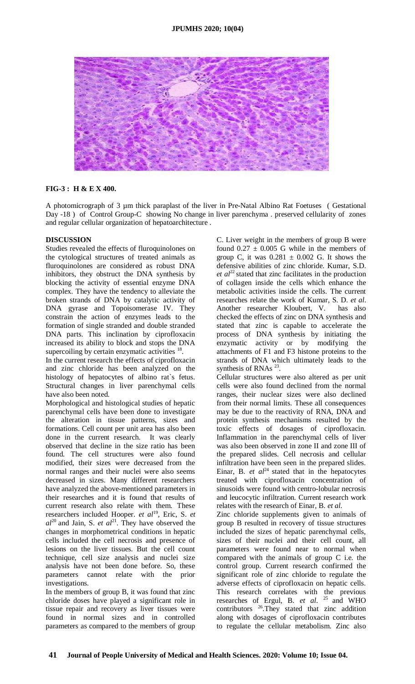

## **FIG-3 : H & E X 400.**

A photomicrograph of 3 µm thick paraplast of the liver in Pre-Natal Albino Rat Foetuses ( Gestational Day -18 ) of Control Group-C showing No change in liver parenchyma . preserved cellularity of zones and regular cellular organization of hepatoarchitecture .

## **DISCUSSION**

Studies revealed the effects of fluroquinolones on the cytological structures of treated animals as fluroquinolones are considered as robust DNA inhibitors, they obstruct the DNA synthesis by blocking the activity of essential enzyme DNA complex. They have the tendency to alleviate the broken strands of DNA by catalytic activity of DNA gyrase and Topoisomerase IV. They constrain the action of enzymes leads to the formation of single stranded and double stranded DNA parts. This inclination by ciprofloxacin increased its ability to block and stops the DNA supercoiling by certain enzymatic activities  $<sup>1</sup>$ </sup> .

In the current research the effects of ciprofloxacin and zinc chloride has been analyzed on the histology of hepatocytes of albino rat`s fetus. Structural changes in liver parenchymal cells have also been noted.

Morphological and histological studies of hepatic parenchymal cells have been done to investigate the alteration in tissue patterns, sizes and formations. Cell count per unit area has also been done in the current research. It was clearly observed that decline in the size ratio has been found. The cell structures were also found modified, their sizes were decreased from the normal ranges and their nuclei were also seems decreased in sizes. Many different researchers have analyzed the above-mentioned parameters in their researches and it is found that results of current research also relate with them. These researchers included Hooper. *et al*<sup>19</sup>, Eric, S. *et*  $al^{20}$  and Jain, S. *et al*<sup>21</sup>. They have observed the changes in morphometrical conditions in hepatic cells included the cell necrosis and presence of lesions on the liver tissues. But the cell count technique, cell size analysis and nuclei size analysis have not been done before. So, these parameters cannot relate with the prior investigations.

In the members of group B, it was found that zinc chloride doses have played a significant role in tissue repair and recovery as liver tissues were found in normal sizes and in controlled parameters as compared to the members of group

C. Liver weight in the members of group B were found  $0.27 \pm 0.005$  G while in the members of group C, it was  $0.281 \pm 0.002$  G. It shows the defensive abilities of zinc chloride. Kumar, S.D.  $et al^{22}$  stated that zinc facilitates in the production of collagen inside the cells which enhance the metabolic activities inside the cells. The current researches relate the work of Kumar, S. D. *et al*. Another researcher Kloubert, V. has also checked the effects of zinc on DNA synthesis and stated that zinc is capable to accelerate the process of DNA synthesis by initiating the enzymatic activity or by modifying the attachments of F1 and F3 histone proteins to the strands of DNA which ultimately leads to the synthesis of RNAs  $^{23}$ .

Cellular structures were also altered as per unit cells were also found declined from the normal ranges, their nuclear sizes were also declined from their normal limits. These all consequences may be due to the reactivity of RNA, DNA and protein synthesis mechanisms resulted by the toxic effects of dosages of ciprofloxacin. Inflammation in the parenchymal cells of liver was also been observed in zone II and zone III of the prepared slides. Cell necrosis and cellular infiltration have been seen in the prepared slides. Einar, B. *et*  $al^{24}$  stated that in the hepatocytes treated with ciprofloxacin concentration of sinusoids were found with centro-lobular necrosis and leucocytic infiltration. Current research work relates with the research of Einar, B. *et al*.

Zinc chloride supplements given to animals of group B resulted in recovery of tissue structures included the sizes of hepatic parenchymal cells, sizes of their nuclei and their cell count, all parameters were found near to normal when compared with the animals of group C i.e. the control group. Current research confirmed the significant role of zinc chloride to regulate the adverse effects of ciprofloxacin on hepatic cells. This research correlates with the previous researches of Ergul, B. *et al.*  $^{25}$  and WHO contributors  $26.7$  They stated that zinc addition along with dosages of ciprofloxacin contributes to regulate the cellular metabolism. Zinc also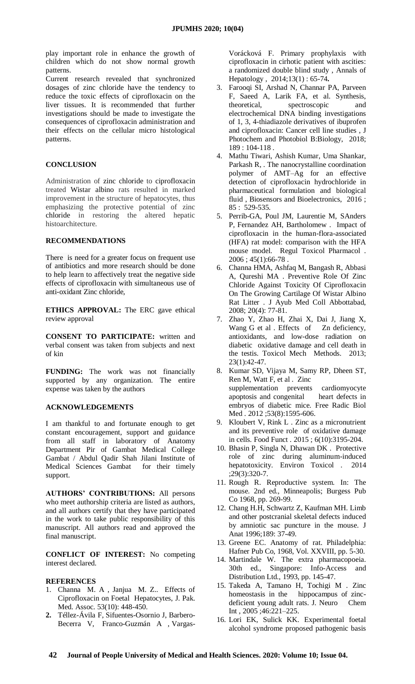play important role in enhance the growth of children which do not show normal growth patterns.

Current research revealed that synchronized dosages of zinc chloride have the tendency to reduce the toxic effects of ciprofloxacin on the liver tissues. It is recommended that further investigations should be made to investigate the consequences of ciprofloxacin administration and their effects on the cellular micro histological patterns.

### **CONCLUSION**

Administration of zinc chloride to ciprofloxacin treated Wistar albino rats resulted in marked improvement in the structure of hepatocytes, thus emphasizing the protective potential of zinc chloride in restoring the altered hepatic histoarchitecture.

#### **RECOMMENDATIONS**

There is need for a greater focus on frequent use of antibiotics and more research should be done to help learn to affectively treat the negative side effects of ciprofloxacin with simultaneous use of anti-oxidant Zinc chloride,

**ETHICS APPROVAL:** The ERC gave ethical review approval

**CONSENT TO PARTICIPATE:** written and verbal consent was taken from subjects and next of kin

**FUNDING:** The work was not financially supported by any organization. The entire expense was taken by the authors

#### **ACKNOWLEDGEMENTS**

I am thankful to and fortunate enough to get constant encouragement, support and guidance from all staff in laboratory of Anatomy Department Pir of Gambat Medical College Gambat / Abdul Qadir Shah Jilani Institute of Medical Sciences Gambat for their timely support.

**AUTHORS' CONTRIBUTIONS:** All persons who meet authorship criteria are listed as authors, and all authors certify that they have participated in the work to take public responsibility of this manuscript. All authors read and approved the final manuscript.

**CONFLICT OF INTEREST:** No competing interest declared.

### **REFERENCES**

- 1. Channa M. A , Janjua M. Z.. Effects of Ciprofloxacin on Foetal Hepatocytes, J. Pak. Med. Assoc. 53(10): 448-450.
- **2.** Téllez-Ávila F, Sifuentes-Osornio J, Barbero-Becerra V, Franco-Guzmán A , Vargas-

Vorácková F. Primary prophylaxis with ciprofloxacin in cirhotic patient with ascities: a randomized double blind study , Annals of Hepatology , 2014;13(1) : 65-74**.** 

- 3. Farooqi SI, Arshad N, Channar PA, Parveen F, Saeed A, Larik FA, et al. Synthesis, theoretical, spectroscopic and electrochemical DNA binding investigations of 1, 3, 4-thiadiazole derivatives of ibuprofen and ciprofloxacin: Cancer cell line studies , J Photochem and Photobiol B:Biology, 2018; 189 : 104-118 .
- 4. Mathu Tiwari, Ashish Kumar, Uma Shankar, Parkash R, . The nanocrystalline coordination polymer of AMT–Ag for an effective detection of ciprofloxacin hydrochloride in pharmaceutical formulation and biological fluid , Biosensors and Bioelectronics, 2016 ; 85 : 529-535.
- 5. Perrib-GA, Poul JM, Laurentie M, SAnders P, Fernandez AH, Bartholomew . Impact of ciprofloxacin in the human-flora-associated (HFA) rat model: comparison with the HFA mouse model. Regul Toxicol Pharmacol .  $2006$ ;  $45(1):66-78$ .
- 6. Channa HMA, Ashfaq M, Bangash R, Abbasi A, Qureshi MA . Preventive Role Of Zinc Chloride Against Toxicity Of Ciprofloxacin On The Growing Cartilage Of Wistar Albino Rat Litter . J Ayub Med Coll Abbottabad, 2008; 20(4): 77-81.
- 7. Zhao Y, Zhao H, Zhai X, Dai J, Jiang X, Wang G et al . Effects of Zn deficiency, antioxidants, and low-dose radiation on diabetic oxidative damage and cell death in the testis. Toxicol Mech Methods. 2013; 23(1):42-47.
- 8. Kumar SD, Vijaya M, Samy RP, Dheen ST, Ren M, Watt F, et al . Zinc supplementation prevents cardiomyocyte apoptosis and congenital heart defects in embryos of diabetic mice. Free Radic Biol Med . 2012 ;53(8):1595-606.
- 9. Kloubert V, Rink L . Zinc as a micronutrient and its preventive role of oxidative damage in cells. Food Funct . 2015 ; 6(10):3195-204.
- 10. Bhasin P, Singla N, Dhawan DK . Protective role of zinc during aluminum-induced hepatotoxicity. Environ Toxicol . 2014 ;29(3):320-7.
- 11. Rough R. Reproductive system. In: The mouse. 2nd ed., Minneapolis; Burgess Pub Co 1968, pp. 269-99.
- 12. Chang H.H, Schwartz Z, Kaufman MH. Limb and other postcranial skeletal defects induced by amniotic sac puncture in the mouse. J Anat 1996;189: 37-49.
- 13. Greene EC. Anatomy of rat. Philadelphia: Hafner Pub Co, 1968, Vol. XXVIII, pp. 5-30.
- 14. Martindale W. The extra pharmacopoeia. 30th ed., Singapore: Info-Access and Distribution Ltd., 1993, pp. 145-47.
- 15. Takeda A, Tamano H, Tochigi M . Zinc homeostasis in the hippocampus of zincdeficient young adult rats. J. Neuro Chem Int , 2005 ;46:221–225.
- 16. Lori EK, Sulick KK. Experimental foetal alcohol syndrome proposed pathogenic basis